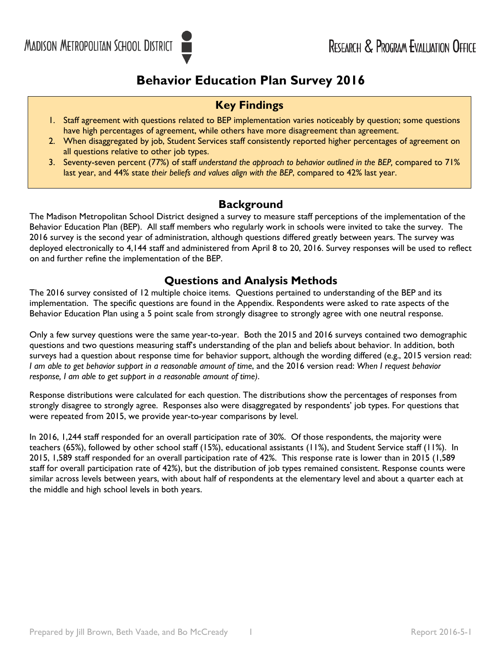# **Behavior Education Plan Survey 2016**

## **Key Findings**

- 1. Staff agreement with questions related to BEP implementation varies noticeably by question; some questions have high percentages of agreement, while others have more disagreement than agreement.
- 2. When disaggregated by job, Student Services staff consistently reported higher percentages of agreement on all questions relative to other job types.
- 3. Seventy-seven percent (77%) of staff *understand the approach to behavior outlined in the BEP,* compared to 71% last year, and 44% state *their beliefs and values align with the BEP*, compared to 42% last year.

## **Background**

The Madison Metropolitan School District designed a survey to measure staff perceptions of the implementation of the Behavior Education Plan (BEP). All staff members who regularly work in schools were invited to take the survey. The 2016 survey is the second year of administration, although questions differed greatly between years. The survey was deployed electronically to 4,144 staff and administered from April 8 to 20, 2016. Survey responses will be used to reflect on and further refine the implementation of the BEP.

### **Questions and Analysis Methods**

The 2016 survey consisted of 12 multiple choice items. Questions pertained to understanding of the BEP and its implementation. The specific questions are found in the Appendix. Respondents were asked to rate aspects of the Behavior Education Plan using a 5 point scale from strongly disagree to strongly agree with one neutral response.

Only a few survey questions were the same year-to-year. Both the 2015 and 2016 surveys contained two demographic questions and two questions measuring staff's understanding of the plan and beliefs about behavior. In addition, both surveys had a question about response time for behavior support, although the wording differed (e.g., 2015 version read: *I am able to get behavior support in a reasonable amount of time*, and the 2016 version read: *When I request behavior response, I am able to get support in a reasonable amount of time)*.

Response distributions were calculated for each question. The distributions show the percentages of responses from strongly disagree to strongly agree. Responses also were disaggregated by respondents' job types. For questions that were repeated from 2015, we provide year-to-year comparisons by level.

In 2016, 1,244 staff responded for an overall participation rate of 30%. Of those respondents, the majority were teachers (65%), followed by other school staff (15%), educational assistants (11%), and Student Service staff (11%). In 2015, 1,589 staff responded for an overall participation rate of 42%. This response rate is lower than in 2015 (1,589 staff for overall participation rate of 42%), but the distribution of job types remained consistent. Response counts were similar across levels between years, with about half of respondents at the elementary level and about a quarter each at the middle and high school levels in both years.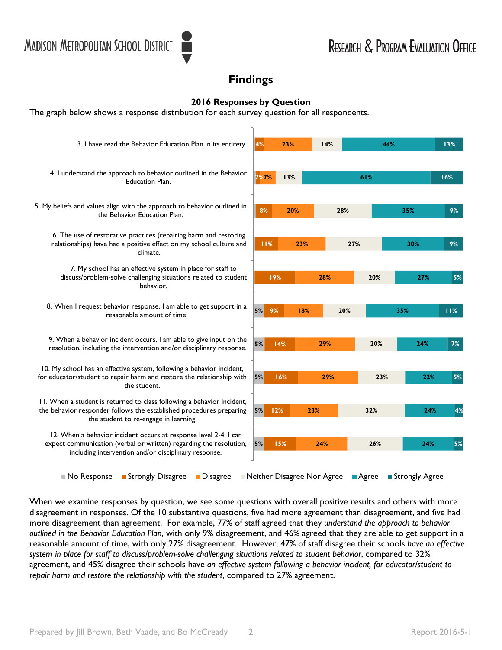## **Findings**

### **2016 Responses by Question**

The graph below shows a response distribution for each survey question for all respondents.

| 3. I have read the Behavior Education Plan in its entirety.                                                                                                                                    | 4%   |     | 23% |                            | 14%<br>44% |         |     |                  | 13% |
|------------------------------------------------------------------------------------------------------------------------------------------------------------------------------------------------|------|-----|-----|----------------------------|------------|---------|-----|------------------|-----|
| 4. I understand the approach to behavior outlined in the Behavior<br><b>Education Plan.</b>                                                                                                    | 2%7% |     | 13% |                            |            | 61%     |     |                  | 16% |
| 5. My beliefs and values align with the approach to behavior outlined in<br>the Behavior Education Plan.                                                                                       | 8%   |     | 20% |                            | 28%        |         | 35% |                  | 9%  |
| 6. The use of restorative practices (repairing harm and restoring<br>relationships) have had a positive effect on my school culture and<br>climate.                                            | 11%  |     |     | 23%                        |            | 27%     |     | 30%              | 9%  |
| 7. My school has an effective system in place for staff to<br>discuss/problem-solve challenging situations related to student<br>behavior.                                                     |      | 19% |     | 28%                        |            | 20%     |     | 27%              | 5%  |
| 8. When I request behavior response, I am able to get support in a<br>reasonable amount of time.                                                                                               | 5%   | 9%  |     | 18%                        | 20%        |         | 35% |                  | 11% |
| 9. When a behavior incident occurs, I am able to give input on the<br>resolution, including the intervention and/or disciplinary response.                                                     | 5%   | 14% |     | 29%                        |            | 20%     |     | 24%              | 7%  |
| 10. My school has an effective system, following a behavior incident,<br>for educator/student to repair harm and restore the relationship with<br>the student.                                 | 5%   | 16% |     |                            | 29%        | 23%     |     | 22%              | 5%  |
| 11. When a student is returned to class following a behavior incident,<br>the behavior responder follows the established procedures preparing<br>the student to re-engage in learning.         | 5%   | 12% |     | 23%                        |            | 32%     |     | 24%              | 4%  |
| 12. When a behavior incident occurs at response level 2-4, I can<br>expect communication (verbal or written) regarding the resolution,<br>including intervention and/or disciplinary response. | 5%   | 15% |     | 24%                        |            | 26%     |     | 24%              | 5%  |
| <b>Strongly Disagree</b><br>■ No Response<br><b>Disagree</b>                                                                                                                                   |      |     |     | Neither Disagree Nor Agree |            | ■ Agree |     | ■ Strongly Agree |     |

When we examine responses by question, we see some questions with overall positive results and others with more disagreement in responses. Of the 10 substantive questions, five had more agreement than disagreement, and five had more disagreement than agreement. For example, 77% of staff agreed that they *understand the approach to behavior outlined in the Behavior Education Plan*, with only 9% disagreement, and 46% agreed that they are able to get support in a reasonable amount of time, with only 27% disagreement. However, 47% of staff disagree their schools *have an effective system in place for staff to discuss/problem-solve challenging situations related to student behavior*, compared to 32% agreement, and 45% disagree their schools have *an effective system following a behavior incident, for educator/student to repair harm and restore the relationship with the student*, compared to 27% agreement.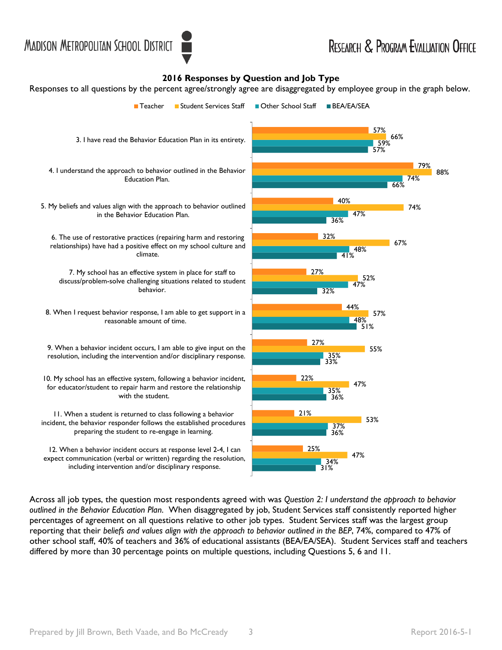#### **2016 Responses by Question and Job Type**

Responses to all questions by the percent agree/strongly agree are disaggregated by employee group in the graph below.



Across all job types, the question most respondents agreed with was *Question 2: I understand the approach to behavior outlined in the Behavior Education Plan*. When disaggregated by job, Student Services staff consistently reported higher percentages of agreement on all questions relative to other job types. Student Services staff was the largest group reporting that their *beliefs and values align with the approach to behavior outlined in the BEP*, 74%, compared to 47% of other school staff, 40% of teachers and 36% of educational assistants (BEA/EA/SEA). Student Services staff and teachers differed by more than 30 percentage points on multiple questions, including Questions 5, 6 and 11.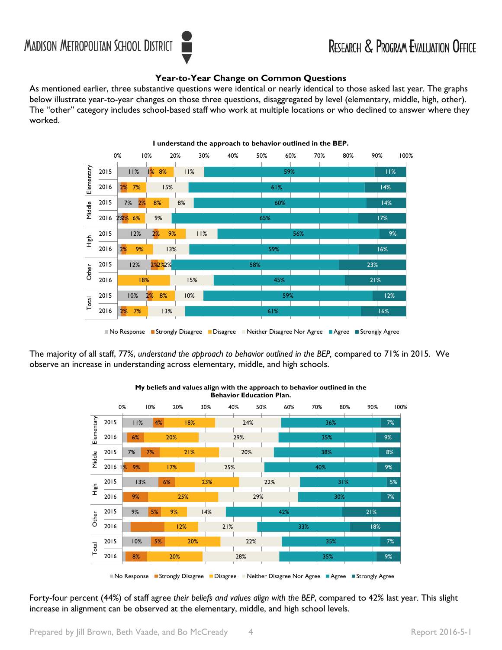### **Year-to-Year Change on Common Questions**

As mentioned earlier, three substantive questions were identical or nearly identical to those asked last year. The graphs below illustrate year-to-year changes on those three questions, disaggregated by level (elementary, middle, high, other). The "other" category includes school-based staff who work at multiple locations or who declined to answer where they worked.



The majority of all staff, 77%, *understand the approach to behavior outlined in the BEP,* compared to 71% in 2015. We observe an increase in understanding across elementary, middle, and high schools.



**My beliefs and values align with the approach to behavior outlined in the Behavior Education Plan.**

Forty-four percent (44%) of staff agree *their beliefs and values align with the BEP*, compared to 42% last year. This slight increase in alignment can be observed at the elementary, middle, and high school levels.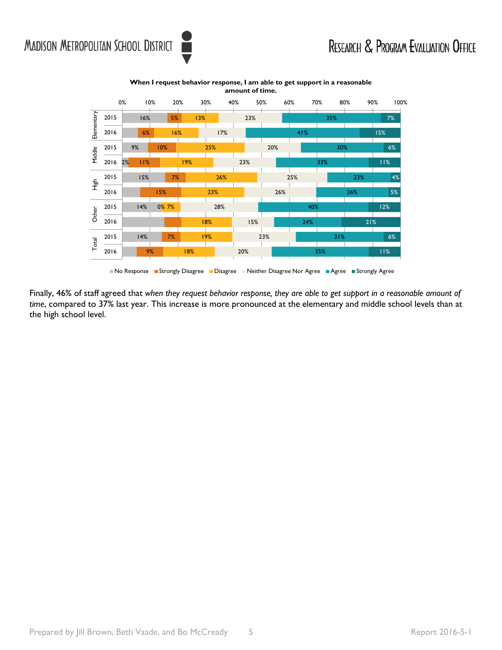



**When I request behavior response, I am able to get support in a reasonable amount of time.**

No Response Gustrongly Disagree Disagree Neither Disagree Nor Agree Guagree Strongly Agree

Finally, 46% of staff agreed that *when they request behavior response, they are able to get support in a reasonable amount of time*, compared to 37% last year. This increase is more pronounced at the elementary and middle school levels than at the high school level.